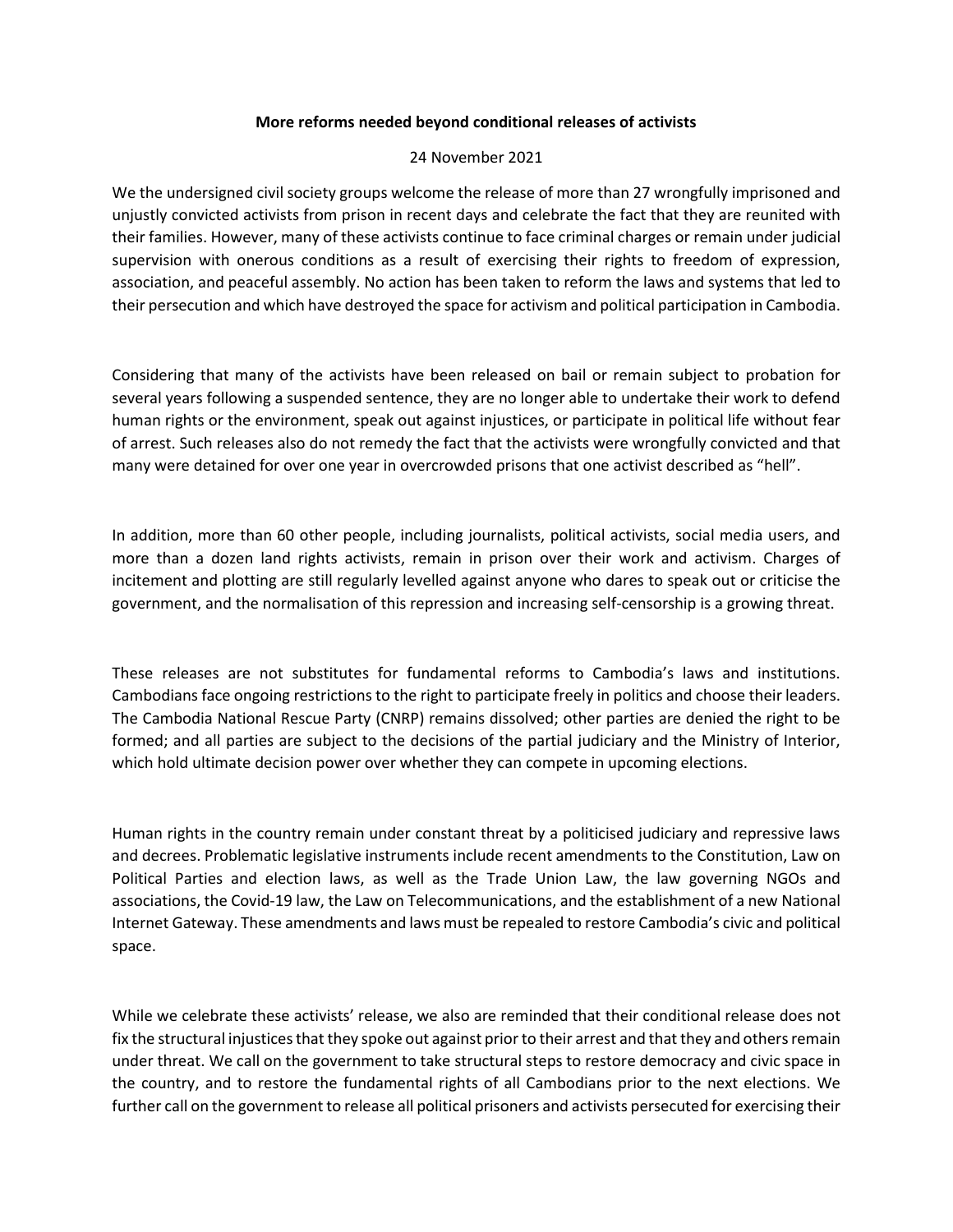## **More reforms needed beyond conditional releases of activists**

## 24 November 2021

We the undersigned civil society groups welcome the release of more than 27 wrongfully imprisoned and unjustly convicted activists from prison in recent days and celebrate the fact that they are reunited with their families. However, many of these activists continue to face criminal charges or remain under judicial supervision with onerous conditions as a result of exercising their rights to freedom of expression, association, and peaceful assembly. No action has been taken to reform the laws and systems that led to their persecution and which have destroyed the space for activism and political participation in Cambodia.

Considering that many of the activists have been released on bail or remain subject to probation for several years following a suspended sentence, they are no longer able to undertake their work to defend human rights or the environment, speak out against injustices, or participate in political life without fear of arrest. Such releases also do not remedy the fact that the activists were wrongfully convicted and that many were detained for over one year in overcrowded prisons that one activist described as "hell".

In addition, more than 60 other people, including journalists, political activists, social media users, and more than a dozen land rights activists, remain in prison over their work and activism. Charges of incitement and plotting are still regularly levelled against anyone who dares to speak out or criticise the government, and the normalisation of this repression and increasing self-censorship is a growing threat.

These releases are not substitutes for fundamental reforms to Cambodia's laws and institutions. Cambodians face ongoing restrictions to the right to participate freely in politics and choose their leaders. The Cambodia National Rescue Party (CNRP) remains dissolved; other parties are denied the right to be formed; and all parties are subject to the decisions of the partial judiciary and the Ministry of Interior, which hold ultimate decision power over whether they can compete in upcoming elections.

Human rights in the country remain under constant threat by a politicised judiciary and repressive laws and decrees. Problematic legislative instruments include recent amendments to the Constitution, Law on Political Parties and election laws, as well as the Trade Union Law, the law governing NGOs and associations, the Covid-19 law, the Law on Telecommunications, and the establishment of a new National Internet Gateway. These amendments and laws must be repealed to restore Cambodia's civic and political space.

While we celebrate these activists' release, we also are reminded that their conditional release does not fix the structural injustices that they spoke out against prior to their arrest and that they and others remain under threat. We call on the government to take structural steps to restore democracy and civic space in the country, and to restore the fundamental rights of all Cambodians prior to the next elections. We further call on the government to release all political prisoners and activists persecuted for exercising their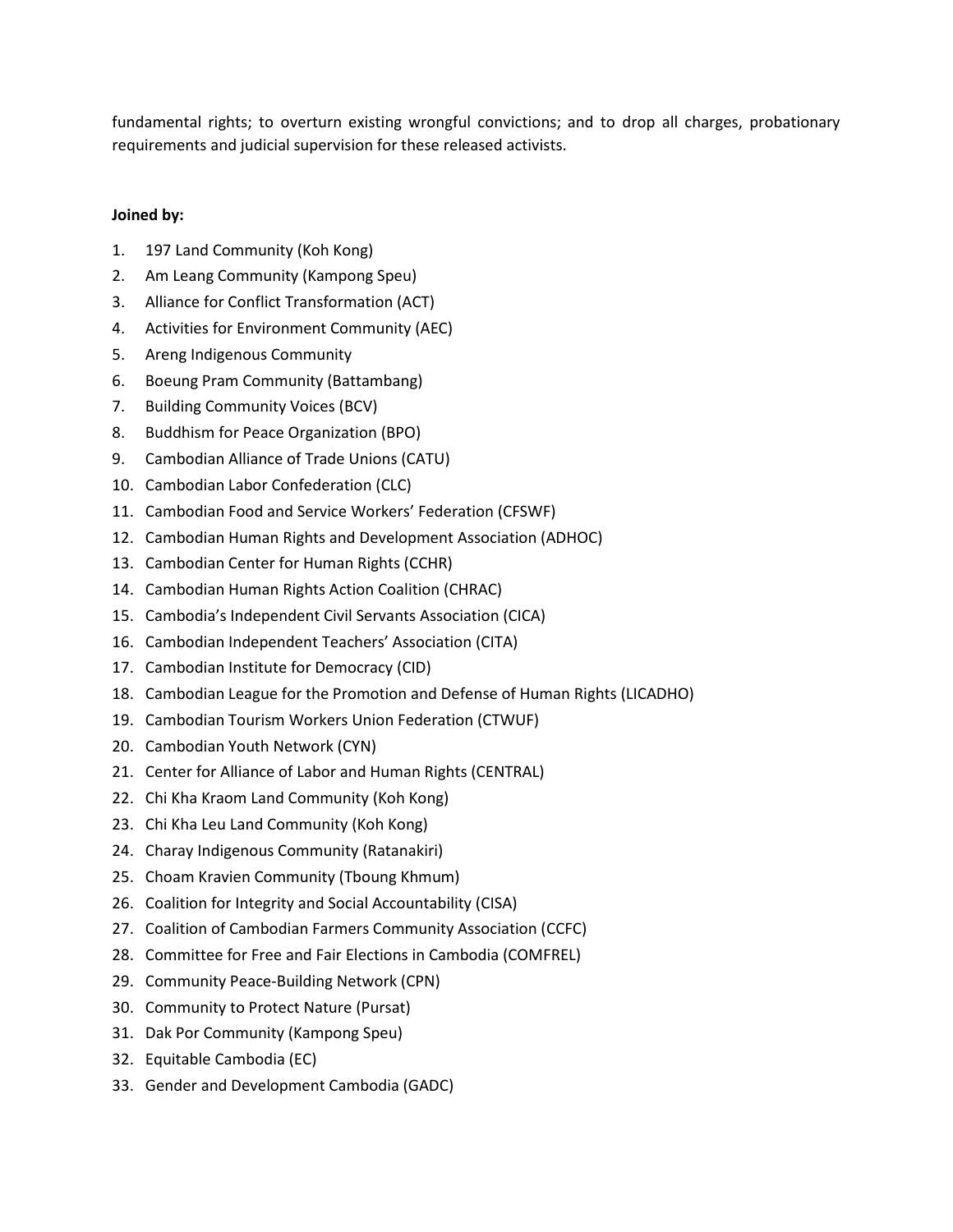fundamental rights; to overturn existing wrongful convictions; and to drop all charges, probationary requirements and judicial supervision for these released activists.

## **Joined by:**

- 1. 197 Land Community (Koh Kong)
- 2. Am Leang Community (Kampong Speu)
- 3. Alliance for Conflict Transformation (ACT)
- 4. Activities for Environment Community (AEC)
- 5. Areng Indigenous Community
- 6. Boeung Pram Community (Battambang)
- 7. Building Community Voices (BCV)
- 8. Buddhism for Peace Organization (BPO)
- 9. Cambodian Alliance of Trade Unions (CATU)
- 10. Cambodian Labor Confederation (CLC)
- 11. Cambodian Food and Service Workers' Federation (CFSWF)
- 12. Cambodian Human Rights and Development Association (ADHOC)
- 13. Cambodian Center for Human Rights (CCHR)
- 14. Cambodian Human Rights Action Coalition (CHRAC)
- 15. Cambodia's Independent Civil Servants Association (CICA)
- 16. Cambodian Independent Teachers' Association (CITA)
- 17. Cambodian Institute for Democracy (CID)
- 18. Cambodian League for the Promotion and Defense of Human Rights (LICADHO)
- 19. Cambodian Tourism Workers Union Federation (CTWUF)
- 20. Cambodian Youth Network (CYN)
- 21. Center for Alliance of Labor and Human Rights (CENTRAL)
- 22. Chi Kha Kraom Land Community (Koh Kong)
- 23. Chi Kha Leu Land Community (Koh Kong)
- 24. Charay Indigenous Community (Ratanakiri)
- 25. Choam Kravien Community (Tboung Khmum)
- 26. Coalition for Integrity and Social Accountability (CISA)
- 27. Coalition of Cambodian Farmers Community Association (CCFC)
- 28. Committee for Free and Fair Elections in Cambodia (COMFREL)
- 29. Community Peace-Building Network (CPN)
- 30. Community to Protect Nature (Pursat)
- 31. Dak Por Community (Kampong Speu)
- 32. Equitable Cambodia (EC)
- 33. Gender and Development Cambodia (GADC)